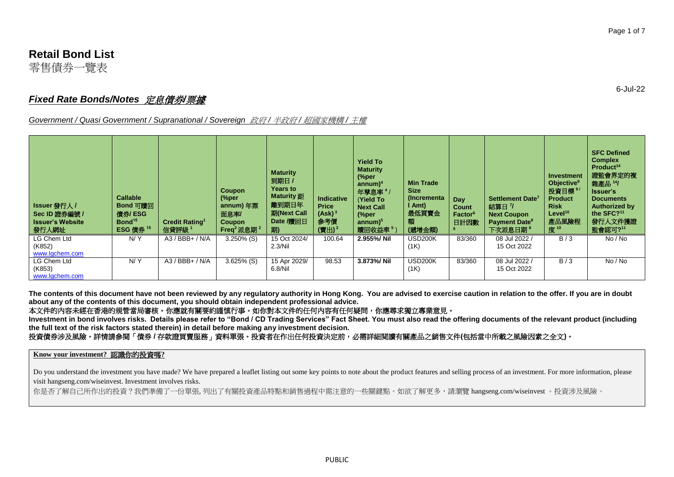# **Retail Bond List**

零售債券一覽表

# *Fixed Rate Bonds/Notes* 定息債券*/*票據

*Government / Quasi Government / Supranational / Sovereign* 政府 */* 半政府 */* 超國家機構 */* 主權

| <b>Issuer 發行人 /</b><br>Sec ID 證券編號 /<br><b>Issuer's Website</b><br>發行人網址 | <b>Callable</b><br>Bond 可贈回<br>借券/ESG<br>Bond <sup>15</sup><br><b>ESG 債券 15</b> | <b>Credit Rating1</b><br>信貸評級 1 | Coupon<br>$\frac{6}{2}$<br>annum) 年票<br>面息率<br>Coupon<br>Freq $2$ 派息期 $2$ | <b>Maturity</b><br>到期日 /<br><b>Years to</b><br><b>Maturity</b> 距<br>離到期日年<br>期(Next Call<br>Date /贖回日<br>期) | <b>Indicative</b><br><b>Price</b><br>$(Ask)^3$<br>参考價<br>$(\ddot{\mathbf{g}}H)^3$ | <b>Yield To</b><br><b>Maturity</b><br>$\frac{6}{2}$<br>annum) <sup>4</sup><br>年孳息率 4 /<br>(Yield To<br><b>Next Call</b><br>(%per<br>annum) <sup>5</sup><br>贖回收益率5) | <b>Min Trade</b><br><b>Size</b><br>(Incrementa)<br>I Amt)<br>最低買賣金<br>額<br>(遞增金額) | Day<br><b>Count</b><br>Factor <sup>6</sup><br>日計因數 | Settlement Date <sup>7</sup><br>結算日 7<br><b>Next Coupon</b><br><b>Payment Date<sup>8</sup></b><br>下次派息日期 " | <b>Investment</b><br>Objective <sup>9</sup><br>投資目標<br><b>Product</b><br><b>Risk</b><br>Level <sup>10</sup><br>產品風險程<br>度 <sup>10</sup> | <b>SFC Defined</b><br><b>Complex</b><br>Product <sup>14</sup><br>證監會界定的複<br><b>雜產品 14/</b><br>Issuer's<br><b>Documents</b><br><b>Authorized by</b><br>the SFC? <sup>11</sup><br>發行人文件獲證<br>監會認可?11 |
|--------------------------------------------------------------------------|---------------------------------------------------------------------------------|---------------------------------|---------------------------------------------------------------------------|-------------------------------------------------------------------------------------------------------------|-----------------------------------------------------------------------------------|--------------------------------------------------------------------------------------------------------------------------------------------------------------------|-----------------------------------------------------------------------------------|----------------------------------------------------|------------------------------------------------------------------------------------------------------------|-----------------------------------------------------------------------------------------------------------------------------------------|----------------------------------------------------------------------------------------------------------------------------------------------------------------------------------------------------|
| LG Chem Ltd<br>(K852)                                                    | N/Y                                                                             | A3 / BBB+ / N/A                 | $3.250\%$ (S)                                                             | 15 Oct 2024/<br>2.3/Ni                                                                                      | 100.64                                                                            | 2.955%/ Nil                                                                                                                                                        | <b>USD200K</b>                                                                    | 83/360                                             | 08 Jul 2022<br>15 Oct 2022                                                                                 | B/3                                                                                                                                     | No / No                                                                                                                                                                                            |
| www.lgchem.com                                                           |                                                                                 |                                 |                                                                           |                                                                                                             |                                                                                   |                                                                                                                                                                    | (1K)                                                                              |                                                    |                                                                                                            |                                                                                                                                         |                                                                                                                                                                                                    |
| LG Chem Ltd<br>(K853)<br>www.lgchem.com                                  | N/Y                                                                             | $A3 / BBB + / N/A$              | $3.625\%$ (S)                                                             | 15 Apr 2029/<br>6.8/Nil                                                                                     | 98.53                                                                             | 3.873%/ Nil                                                                                                                                                        | <b>USD200K</b><br>(1K)                                                            | 83/360                                             | 08 Jul 2022<br>15 Oct 2022                                                                                 | B/3                                                                                                                                     | No / No                                                                                                                                                                                            |

**The contents of this document have not been reviewed by any regulatory authority in Hong Kong. You are advised to exercise caution in relation to the offer. If you are in doubt about any of the contents of this document, you should obtain independent professional advice.**

## 本文件的內容未經在香港的規管當局審核。你應就有關要約謹慎行事。如你對本文件的任何內容有任何疑問,你應尋求獨立專業意見。

**Investment in bond involves risks. Details please refer to "Bond / CD Trading Services" Fact Sheet. You must also read the offering documents of the relevant product (including the full text of the risk factors stated therein) in detail before making any investment decision.**

### 投資債券涉及風險。詳情請參閱「債券 **/** 存款證買賣服務」資料單張。投資者在作出任何投資決定前,必需詳細閱讀有關產品之銷售文件**(**包括當中所載之風險因素之全文**)**。

**Know your investment?** 認識你的投資嗎**?** 

Do you understand the investment you have made? We have prepared a leaflet listing out some key points to note about the product features and selling process of an investment. For more information, please visit hangseng.com/wiseinvest. Investment involves risks.

你是否了解自己所作出的投資?我們準備了一份單張,列出了有關投資產品特點和銷售過程中需注意的一些關鍵點。如欲了解更多,請瀏覽 hangseng.com/wiseinvest 。投資涉及風險。

6-Jul-22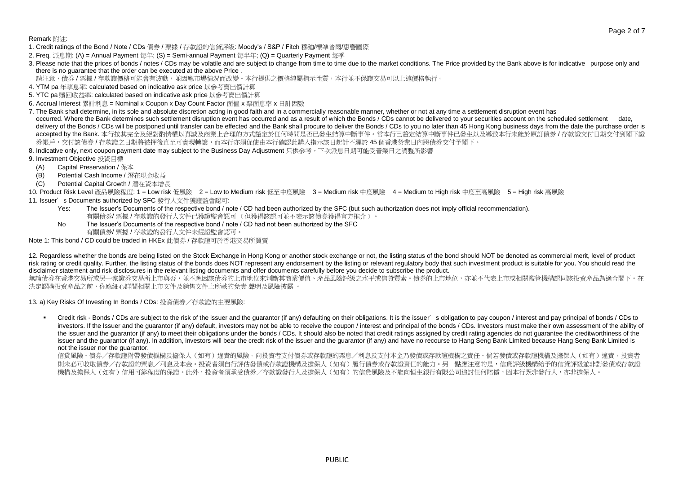Page 2 of 7

Remark 附詳:

- 1. Credit ratings of the Bond / Note / CDs 債券 / 票據 / 存款證的信貸評級: Moody's / S&P / Fitch 穆油/標準普爾/惠譽國際
- 2. Freq. 派息期: (A) = Annual Payment 每年; (S) = Semi-annual Payment 每半年; (Q) = Quarterly Payment 每季
- 3. Please note that the prices of bonds / notes / CDs may be volatile and are subject to change from time to time due to the market conditions. The Price provided by the Bank above is for indicative purpose only and there is no guarantee that the order can be executed at the above Price .
- 請注意,債券/票據/存款證價格可能會有波動,並因應市場情況而改變。本行提供之價格純屬指示性質,本行並不保證交易可以上述價格執行。
- 4. YTM pa 年孳息率: calculated based on indicative ask price 以參考賣出價計算
- 5. YTC pa 贖回收益率: calculated based on indicative ask price 以參考賣出價計算
- 6. Accrual Interest 累計利息 = Nominal x Coupon x Day Count Factor 面值 x 票面息率 x 日計因數
- 7. The Bank shall determine, in its sole and absolute discretion acting in good faith and in a commercially reasonable manner, whether or not at any time a settlement disruption event has occurred. Where the Bank determines such settlement disruption event has occurred and as a result of which the Bonds / CDs cannot be delivered to your securities account on the scheduled settlement delivery of the Bonds / CDs will be postponed until transfer can be effected and the Bank shall procure to deliver the Bonds / CDs to you no later than 45 Hong Kong business days from the date the purchase order is accepted by the Bank. 本行按其完全及絕對酌情權以真誠及商業上合理的方式釐定於任何時間是否已發生結算中斷事件。當本行已釐定結算中斷事件已發生以及導致本行未能於原訂債券/存款證交付日期交付到閣下證 券帳戶,交付該債券 / 存款證之日期將被押後直至可實現轉讓,而本行亦須促使由本行確認此購入指示該日起計不遲於 45 個香港營業日內將債券交付予閣下。
- 8. Indicative only, next coupon payment date may subject to the Business Day Adjustment 只供參考,下次派息日期可能受營業日之調整所影響
- 9. Investment Objective 投資目標
- (A) Capital Preservation / 保本
- (B) Potential Cash Income / 潛在現金收益
- (C) Potential Capital Growth / 潛在資本增長

10. Product Risk Level 產品風險程度: 1 = Low risk 低風險 2 = Low to Medium risk 低至中度風險 3 = Medium risk 中度風險 4 = Medium to High risk 中度至高風險 5 = High risk 高風險 11. Issuer's Documents authorized by SFC 發行人文件獲證監會認可:

- Yes: The Issuer's Documents of the respective bond / note / CD had been authorized by the SFC (but such authorization does not imply official recommendation). 有關債券/ 票據 / 存款證的發行人文件已獲證監會認可 ﹝但獲得該認可並不表示該債券獲得官方推介﹞。
- No The Issuer's Documents of the respective bond / note / CD had not been authorized by the SFC 有關債券/ 票據 / 存款證的發行人文件未經證監會認可。

Note 1: This bond / CD could be traded in HKEx 此債券 / 存款證可於香港交易所買賣

12. Regardless whether the bonds are being listed on the Stock Exchange in Hong Kong or another stock exchange or not, the listing status of the bond should NOT be denoted as commercial merit, level of product risk rating or credit quality. Further, the listing status of the bonds does NOT represent any endorsement by the listing or relevant regulatory body that such investment product is suitable for you. You should read the disclaimer statement and risk disclosures in the relevant listing documents and offer documents carefully before you decide to subscribe the product.

無論債券在香港交易所或另一家證券交易所上市與否,並不應因該債券的上市地位來判斷其商業價值、產品風險評級之水平或信貸質素。債券的上市地位,亦並不代表上市或相關監管機構認同該投資產品為適合閣下。在 決定認購投資產品之前,你應細心詳閲相關上市文件及銷售文件上所載的免責 聲明及風險披露 。

13. a) Key Risks Of Investing In Bonds / CDs: 投資債券/存款證的主要風險:

Credit risk - Bonds / CDs are subject to the risk of the issuer and the quarantor (if any) defaulting on their obligations. It is the issuer's obligation to pay coupon / interest and pay principal of bonds / CDs to investors. If the Issuer and the guarantor (if any) default, investors may not be able to receive the coupon / interest and principal of the bonds / CDs. Investors must make their own assessment of the ability of the issuer and the guarantor (if any) to meet their obligations under the bonds / CDs. It should also be noted that credit ratings assigned by credit rating agencies do not guarantee the creditworthiness of the issuer and the guarantor (if any). In addition, investors will bear the credit risk of the issuer and the guarantor (if any) and have no recourse to Hang Seng Bank Limited because Hang Seng Bank Limited because Hang Seng B not the issuer nor the guarantor.

信貸風險 - 債券/存款證附帶發債機構及擔保人(如有)違責的風險。向投資者支付債券或存款證的票息/利息及支付本金乃發債或存款證機構及有害或存款證機構及擔保人(如有)違責,投資者 則未必可收取債券/存款證的票息/利息及本金。投資者須自行評估發債或存款證機構及擔保人(如有)履行債券或存款證責任的能力。另一點應注意的是,信貸評級機構給予的信貸評級並非對發債或存款證 機構及擔保人(如有)信用可靠程度的保證。此外,投資者須承受債券/存款證發行人及擔保人(如有)的信貸風險及不能向恒生銀行有限公司追討任何賠償,因本行既非發行人,亦非擔保人。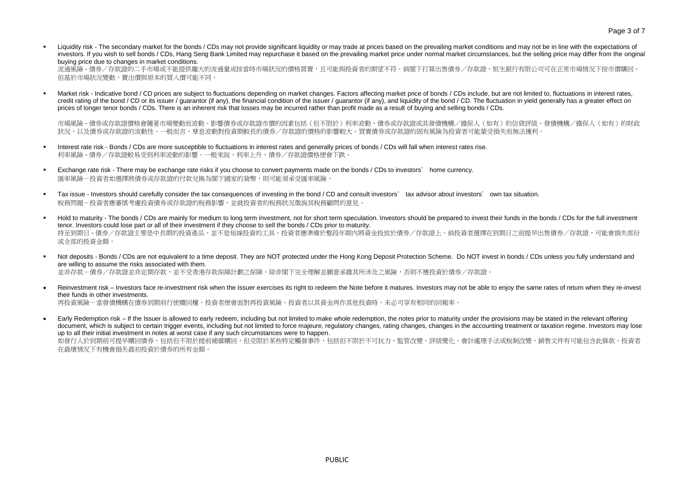Liquidity risk - The secondary market for the bonds / CDs may not provide significant liquidity or may trade at prices based on the prevailing market conditions and may not be in line with the expectations of investors. If you wish to sell bonds / CDs, Hang Seng Bank Limited may repurchase it based on the prevailing market price under normal market circumstances, but the selling price may differ from the original buying price due to changes in market conditions.

流通風險 - 債券/存款證的二手市場或不能提供龐大的流通量或按當時市場狀況的價格買賣,且可能與投資者的期望不符。倘閣下打算出售債券/存款證,恒生銀行有限公司可在正常市場情況下按市價購回, 但基於市場狀況變動,賣出價與原本的買入價可能不同。

Market risk - Indicative bond / CD prices are subject to fluctuations depending on market changes. Factors affecting market price of bonds / CDs include, but are not limited to, fluctuations in interest rates, credit rating of the bond / CD or its issuer / guarantor (if any), the financial condition of the issuer / guarantor (if any), and liquidity of the bond / CD. The fluctuation in yield generally has a greater effect on prices of longer tenor bonds / CDs. There is an inherent risk that losses may be incurred rather than profit made as a result of buying and selling bonds / CDs.

市場風險 - 債券或存款證價格會隨著市場變動而波動。影響債券或存款證市價的因素包括(但不限於)利率波動、債券或存款證或其發債機構/擔保人(如有)的信貸評級、發債機構/擔保人(如有)的財政 狀況,以及債券或存款證的流動性。一般而言,孳息波動對投資期較長的債券/存款證的價格的影響較大。買賣債券或存款證的固有風險為投資者可能蒙受損失而無法獲利。

- Interest rate risk Bonds / CDs are more susceptible to fluctuations in interest rates and generally prices of bonds / CDs will fall when interest rates rise. 利率風險 - 債券/存款證較易受到利率波動的影響。一般來說,利率上升,債券/存款證價格便會下跌。
- Exchange rate risk There may be exchange rate risks if you choose to convert payments made on the bonds / CDs to investors' home currency. 匯率風險-投資者如選擇將債券或存款證的付款兌換為閣下國家的貨幣,則可能須承受匯率風險。
- Tax issue Investors should carefully consider the tax consequences of investing in the bond / CD and consult investors' tax advisor about investors' own tax situation. 稅務問題-投資者應審慎考慮投資債券或存款證的稅務影響,並就投資者的稅務狀況徵詢其稅務顧問的意見。
- Hold to maturity The bonds / CDs are mainly for medium to long term investment, not for short term speculation. Investors should be prepared to invest their funds in the bonds / CDs for the full investment tenor. Investors could lose part or all of their investment if they choose to sell the bonds / CDs prior to maturity. 持至到期日 - 債券/存款證主要是中長期的投資產品,並不是短線投資的工具。投資者應準備於整段年期內將資金投放於債券/存款證上。倘投資者選擇在到期日之前提早出售債券/存款證,可能會損失部份 或全部的投資金額。

Not deposits - Bonds / CDs are not equivalent to a time deposit. They are NOT protected under the Hong Kong Deposit Protection Scheme. Do NOT invest in bonds / CDs unless you fully understand and are willing to assume the risks associated with them. 並非存款-債券/存款證並非定期存款,並不受香港存款保障計劃之保障。除非閣下完全理解並願意承擔其所涉及之風險,否則不應投資於債券/存款證。

Reinvestment risk – Investors face re-investment risk when the Issuer exercises its right to redeem the Note before it matures. Investors may not be able to enjoy the same rates of return when they re-invest their funds in other investments. 再投資風險-當發債機構在債券到期前行使贖回權,投資者便會面對再投資風險。投資者以其資金再作其他投資時,未必可享有相同的回報率。

 Early Redemption risk – If the Issuer is allowed to early redeem, including but not limited to make whole redemption, the notes prior to maturity under the provisions may be stated in the relevant offering document, which is subject to certain trigger events, including but not limited to force majeure, regulatory changes, rating changes, changes in the accounting treatment or taxation regime. Investors may lose up to all their initial investment in notes at worst case if any such circumstances were to happen. 如發行人於到期前可提早贖回債券,包括但不限於提前補償贖回,但受限於某些特定觸發事件,包括但不限於不可抗力、監管改變、評級變化、會計處理手法或稅制改變,銷售文件有可能包含此條款。投資者

在最壞情況下有機會損失最初投資於債券的所有金額。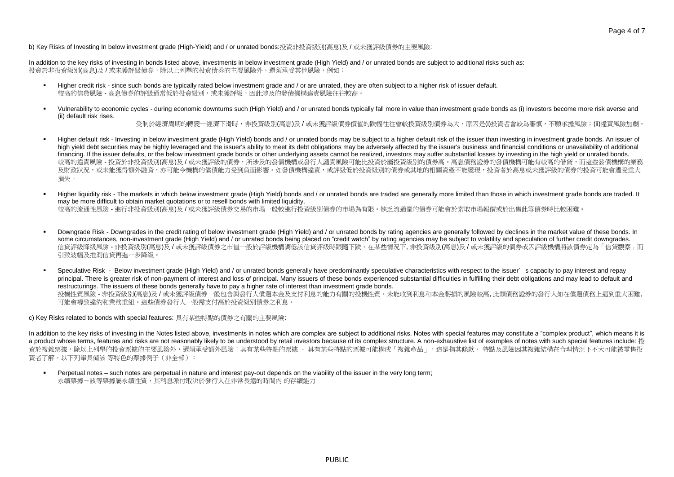b) Key Risks of Investing In below investment grade (High-Yield) and / or unrated bonds:投資非投資級別(高息)及 / 或未獲評級債券的主要風險:

In addition to the key risks of investing in bonds listed above, investments in below investment grade (High Yield) and / or unrated bonds are subject to additional risks such as: 投資於非投資級別(高息)及 / 或未獲評級債券,除以上列舉的投資債券的主要風險外,還須承受其他風險,例如:

- Higher credit risk since such bonds are typically rated below investment grade and / or are unrated, they are often subject to a higher risk of issuer default. 較高的信貸風險 - 高息債券的評級通常低於投資級別,或未獲評級,因此涉及的發債機構違責風險往往較高。
- Vulnerability to economic cycles during economic downturns such (High Yield) and / or unrated bonds typically fall more in value than investment grade bonds as (i) investors become more risk averse and (ii) default risk rises.

受制於經濟周期的轉變—經濟下滑時,非投資級別(高息)及 / 或未獲評級債券價值的跌幅往往會較投資級別債券為大,原因是(i)投資者會較為審慎,不願承擔風險;(ii)違責風險加劇。

- Higher default risk Investing in below investment grade (High Yield) bonds and / or unrated bonds may be subject to a higher default risk of the issuer than investing in investment grade bonds. An issuer of high yield debt securities may be highly leveraged and the issuer's ability to meet its debt obligations may be adversely affected by the issuer's business and financial conditions or unavailability of additional financing. If the issuer defaults, or the below investment grade bonds or other underlying assets cannot be realized, investors may suffer substantial losses by investing in the high yield or unrated bonds. 較高的違責風險 - 投資於非投資級別(高息)及 / 或未獲評級的債券,所涉及的發債機構或發行人譴責風險可能比投資於屬投資級別的債券高。高息債務證券的發債機構可能有較高的借貸,而這些發債機構的業務 及財政狀況,或未能獲得額外融資,亦可能今機構的償債能力受到負面影響。如發債機構違責,或評級低於投資級別的債券或其地的相關資產不能變現,投資者於高息或未獲評級的債券的投資可能會遭受重大 損失。
- Higher liquidity risk The markets in which below investment grade (High Yield) bonds and / or unrated bonds are traded are generally more limited than those in which investment grade bonds are traded. It may be more difficult to obtain market quotations or to resell bonds with limited liquidity. 較高的流通性風險 - 進行非投資級別(高息)及 / 或未獲評級債券交易的市場一般較進行投資級別債券的市場為有限。缺乏流通量的債券可能會於索取市場報價或於出售此等債券時比較困難。
- Downgrade Risk Downgrades in the credit rating of below investment grade (High Yield) and / or unrated bonds by rating agencies are generally followed by declines in the market value of these bonds. In some circumstances, non-investment grade (High Yield) and / or unrated bonds being placed on "credit watch" by rating agencies may be subject to volatility and speculation of further credit downgrades. 信貸評級降級風險 - 非投資級別(高息)及 / 或未獲評級債券之市值一般於評級機構調低該信貸評級時跟隨下跌。在某些情況下, 非投資級別(高息)及 / 或未獲評級的債券戓因評級機構將該債券定為「信貸觀察」而 引致波幅及推測信貸再進ー步降級。
- Speculative Risk Below investment grade (High Yield) and / or unrated bonds generally have predominantly speculative characteristics with respect to the issuer's capacity to pay interest and repay principal. There is greater risk of non-payment of interest and loss of principal. Many issuers of these bonds experienced substantial difficulties in fulfilling their debt obligations and may lead to default and restructurings. The issuers of these bonds generally have to pay a higher rate of interest than investment grade bonds. 投機性質風險 - 非投資級別(高息)及 / 或未獲評級債券一般包含與發行人償還本金及支付利息的能力有關的投機性質。未能收到利息和本金虧損的風險較高, 此類債務證券的發行人如在償還債務上遇到重大困難, 可能會導致違約和業務重組。這些債券發行人一般需支付高於投資級別債券之利息。

c) Key Risks related to bonds with special features: 具有某些特點的債券之有關的主要風險:

In addition to the key risks of investing in the Notes listed above, investments in notes which are complex are subject to additional risks. Notes with special features may constitute a "complex product", which means it is a product whose terms, features and risks are not reasonably likely to be understood by retail investors because of its complex structure. A non-exhaustive list of examples of notes with such special features include: 投 資於複雜票據,除以上列舉的投資票據的主要風險外,還須承受額外風險:具有某些特點的票據 - 具有某些特點的票據可能構成「複雜產品」,這是指其條款、 特點及風險因其複雜結構在合理情況下不大可能被零售投 資者了解。以下列舉具備該 等特色的票據例子(非全部):

Perpetual notes – such notes are perpetual in nature and interest pay-out depends on the viability of the issuer in the very long term; 永續票據-該等票據屬永續性質,其利息派付取決於發行人在非常長遠的時間內 的存續能力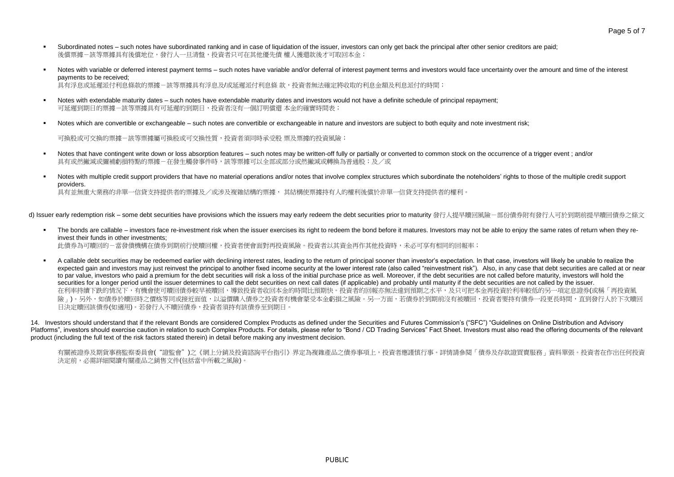- Subordinated notes such notes have subordinated ranking and in case of liquidation of the issuer, investors can only get back the principal after other senior creditors are paid; 後償票據-該等票據具有後償地位,發行人一日清盤,投資者只可在其他優先債 權人獲還款後才可取回本金;
- Notes with variable or deferred interest payment terms such notes have variable and/or deferral of interest payment terms and investors would face uncertainty over the amount and time of the interest payments to be received; 具有浮息或延遲派付利息條款的票據一該等票據具有浮息及/或延遲派付利息條 款,投資者無法確定將收取的利息金額及利息派付的時間;
- Notes with extendable maturity dates such notes have extendable maturity dates and investors would not have a definite schedule of principal repayment; 可延遲到期日的票據-該等票據具有可延遲的到期日,投資者沒有一個訂明償還 本金的確實時間表;
- Notes which are convertible or exchangeable such notes are convertible or exchangeable in nature and investors are subject to both equity and note investment risk:

可換股或可交換的票據-該等票據屬可換股或可交換性質,投資者須同時承受股 票及票據的投資風險;

- Notes that have contingent write down or loss absorption features such notes may be written-off fully or partially or converted to common stock on the occurrence of a trigger event; and/or 具有或然撇減或彌補虧捐特點的票據-在發生觸發事件時,該等票據可以全部或部分或然撇減或轉換為普通股;及/或
- Notes with multiple credit support providers that have no material operations and/or notes that involve complex structures which subordinate the noteholders' rights to those of the multiple credit support providers. 具有並無重大業務的非單一信貸支持提供者的票據及/或涉及複雜結構的票據, 其結構使票據持有人的權利後償於非單一信貸支持提供者的權利。

d) Issuer early redemption risk – some debt securities have provisions which the issuers may early redeem the debt securities prior to maturity 發行人提早贖回風險-部份債券附有發行人可於到期前提早贖回債券之條文

- The bonds are callable investors face re-investment risk when the issuer exercises its right to redeem the bond before it matures. Investors may not be able to enjoy the same rates of return when they reinvest their funds in other investments; 此債券為可贖回的-當發債機構在債券到期前行使贖回權,投資者便會面對再投資風險。投資者以其資金再作其他投資時,未必可享有相同的回報率;
- A callable debt securities may be redeemed earlier with declining interest rates, leading to the return of principal sooner than investor's expectation. In that case, investors will likely be unable to realize the expected gain and investors may just reinvest the principal to another fixed income security at the lower interest rate (also called "reinvestment risk"). Also, in any case that debt securities are called at or near to par value, investors who paid a premium for the debt securities will risk a loss of the initial purchase price as well. Moreover, if the debt securities are not called before maturity, investors will hold the securities for a longer period until the issuer determines to call the debt securities on next call dates (if applicable) and probably until maturity if the debt securities are not called by the issuer. 在利率持續下跌的情況下,有機會使可贖回債券較早被贖回,導致投資者收回本金的時間比預期快。投資者的回報亦無法達到預期之水平,及只可把本金再投資於利率較低的另一項定息證券(或稱「再投資風 險」)。另外,如債券於贖回時之價格等同或接近面值,以溢價購入債券之投資者有機會蒙受本金虧損之風險。另一方面,若債券於到期前沒有被贖回,投資者要持有債券一段更長時間,直到發行人於下次贖回 日決定贖回該債券(如適用)。若發行人不贖回債券,投資者須持有該債券至到期日。

14. Investors should understand that if the relevant Bonds are considered Complex Products as defined under the Securities and Futures Commission's ("SFC") "Guidelines on Online Distribution and Advisory Platforms", investors should exercise caution in relation to such Complex Products. For details, please refer to "Bond / CD Trading Services" Fact Sheet. Investors must also read the offering documents of the relevant product (including the full text of the risk factors stated therein) in detail before making any investment decision.

有關被證券及期貨事務監察委員會("證監會")之《網上分銷及投資諮詢平台指引》界定為複雜產品之債券事項上,投資者應謹慎行事。詳情請參閱「債券及存款證買賣服務」資料單張。投資者在作出任何投資 決定前,必需詳細閱讀有關產品之銷售文件(包括當中所載之風險)。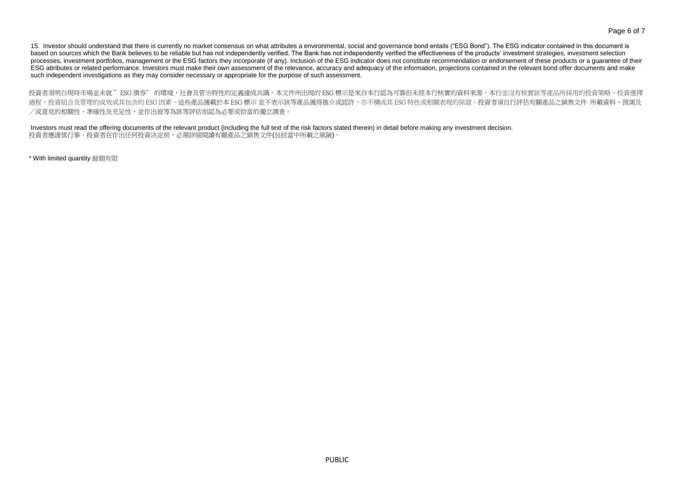15. Investor should understand that there is currently no market consensus on what attributes a environmental, social and governance bond entails ("ESG Bond"). The ESG indicator contained in this document is based on sources which the Bank believes to be reliable but has not independently verified. The Bank has not independently verified the effectiveness of the products' investment strategies, investment selection processes, investment portfolios, management or the ESG factors they incorporate (if any). Inclusion of the ESG indicator does not constitute recommendation or endorsement of these products or a guarantee of their ESG attributes or related performance. Investors must make their own assessment of the relevance, accuracy and adequacy of the information, projections contained in the relevant bond offer documents and make such independent investigations as they may consider necessary or appropriate for the purpose of such assessment.

投資者須明白現時市場並未就 "ESG 債券" 的環境,社會及管治特性的定義達成共識。本文件所出現的 ESG 標示是來自本行認為可靠但未經本行核實的資料來源。本行並沒有核實該等產品所採用的投資策略、投資選擇 過程、投資組合及管理的成效或其包含的 ESG 因素。這些產品獲載於本 ESG 標示 並不表示該等產品獲得推介或認許,亦不構成其 ESG 特性或相關表現的保證。投資者須自行評估有關產品之銷售文件 所載資料、預測及 /或意見的相關性、準確性及充足性,並作出彼等為該等評估而認為必要或恰當的獨立調查。

Investors must read the offering documents of the relevant product (including the full text of the risk factors stated therein) in detail before making any investment decision. 投資者應謹慎行事。投資者在作出任何投資決定前,必需詳細閱讀有關產品之銷售文件(包括當中所載之風險)。

\* With limited quantity 餘額有限